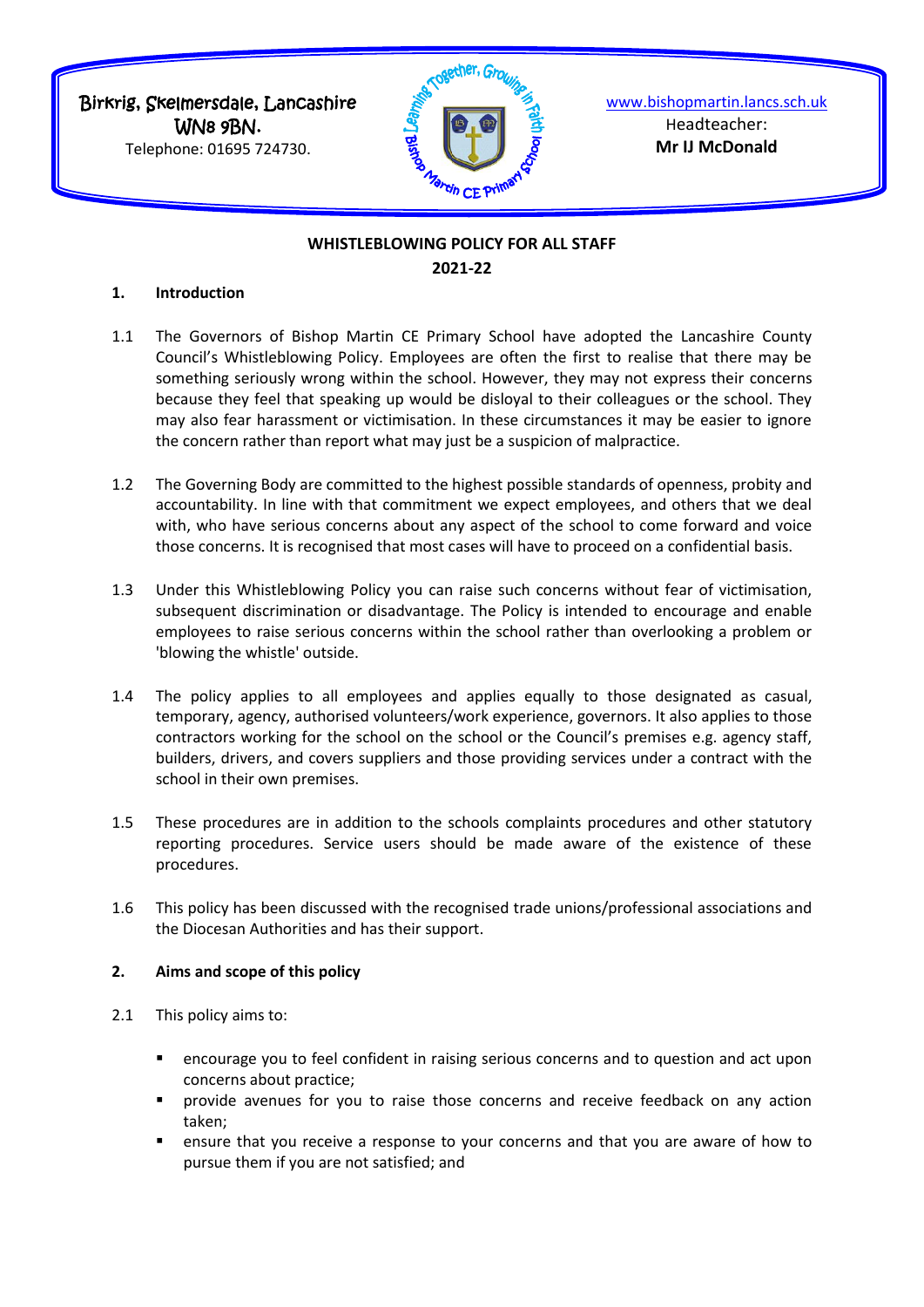Birkrig, Skelmersdale, Lancashire WN8 9BN.

Telephone: 01695 724730.



[www.bishopmartin.lancs.sch.uk](http://www.bishopmartin.lancs.sch.uk/) Headteacher: **Mr IJ McDonald**

# **WHISTLEBLOWING POLICY FOR ALL STAFF 2021-22**

### **1. Introduction**

- 1.1 The Governors of Bishop Martin CE Primary School have adopted the Lancashire County Council's Whistleblowing Policy. Employees are often the first to realise that there may be something seriously wrong within the school. However, they may not express their concerns because they feel that speaking up would be disloyal to their colleagues or the school. They may also fear harassment or victimisation. In these circumstances it may be easier to ignore the concern rather than report what may just be a suspicion of malpractice.
- 1.2 The Governing Body are committed to the highest possible standards of openness, probity and accountability. In line with that commitment we expect employees, and others that we deal with, who have serious concerns about any aspect of the school to come forward and voice those concerns. It is recognised that most cases will have to proceed on a confidential basis.
- 1.3 Under this Whistleblowing Policy you can raise such concerns without fear of victimisation, subsequent discrimination or disadvantage. The Policy is intended to encourage and enable employees to raise serious concerns within the school rather than overlooking a problem or 'blowing the whistle' outside.
- 1.4 The policy applies to all employees and applies equally to those designated as casual, temporary, agency, authorised volunteers/work experience, governors. It also applies to those contractors working for the school on the school or the Council's premises e.g. agency staff, builders, drivers, and covers suppliers and those providing services under a contract with the school in their own premises.
- 1.5 These procedures are in addition to the schools complaints procedures and other statutory reporting procedures. Service users should be made aware of the existence of these procedures.
- 1.6 This policy has been discussed with the recognised trade unions/professional associations and the Diocesan Authorities and has their support.

# **2. Aims and scope of this policy**

- 2.1 This policy aims to:
	- encourage you to feel confident in raising serious concerns and to question and act upon concerns about practice;
	- provide avenues for you to raise those concerns and receive feedback on any action taken;
	- ensure that you receive a response to your concerns and that you are aware of how to pursue them if you are not satisfied; and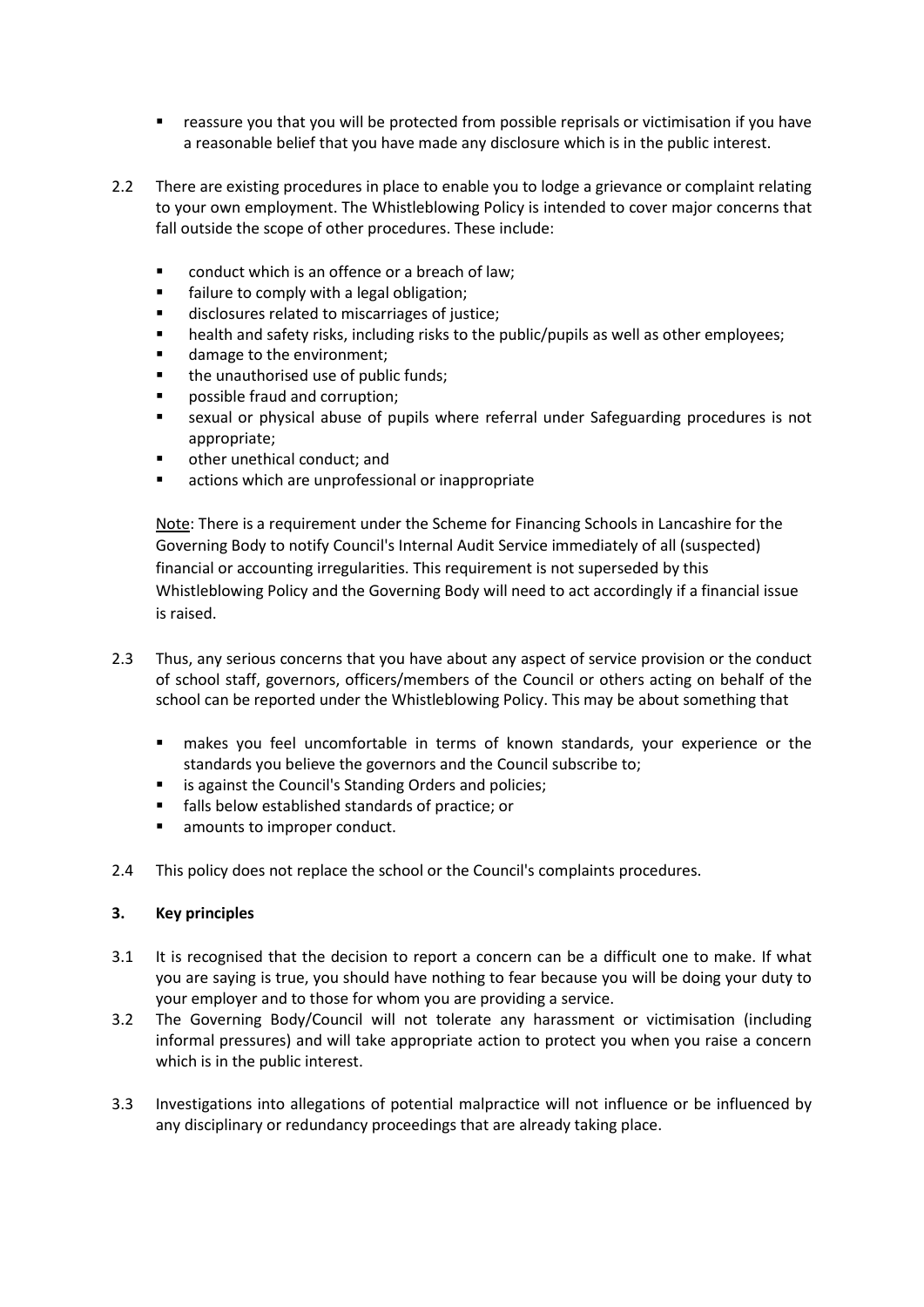- reassure you that you will be protected from possible reprisals or victimisation if you have a reasonable belief that you have made any disclosure which is in the public interest.
- 2.2 There are existing procedures in place to enable you to lodge a grievance or complaint relating to your own employment. The Whistleblowing Policy is intended to cover major concerns that fall outside the scope of other procedures. These include:
	- conduct which is an offence or a breach of law;
	- failure to comply with a legal obligation;
	- disclosures related to miscarriages of justice;
	- health and safety risks, including risks to the public/pupils as well as other employees;
	- damage to the environment;
	- the unauthorised use of public funds;
	- possible fraud and corruption;
	- sexual or physical abuse of pupils where referral under Safeguarding procedures is not appropriate;
	- other unethical conduct; and
	- actions which are unprofessional or inappropriate

Note: There is a requirement under the Scheme for Financing Schools in Lancashire for the Governing Body to notify Council's Internal Audit Service immediately of all (suspected) financial or accounting irregularities. This requirement is not superseded by this Whistleblowing Policy and the Governing Body will need to act accordingly if a financial issue is raised.

- 2.3 Thus, any serious concerns that you have about any aspect of service provision or the conduct of school staff, governors, officers/members of the Council or others acting on behalf of the school can be reported under the Whistleblowing Policy. This may be about something that
	- makes you feel uncomfortable in terms of known standards, your experience or the standards you believe the governors and the Council subscribe to;
	- is against the Council's Standing Orders and policies;
	- falls below established standards of practice; or
	- amounts to improper conduct.
- 2.4 This policy does not replace the school or the Council's complaints procedures.

### **3. Key principles**

- 3.1 It is recognised that the decision to report a concern can be a difficult one to make. If what you are saying is true, you should have nothing to fear because you will be doing your duty to your employer and to those for whom you are providing a service.
- 3.2 The Governing Body/Council will not tolerate any harassment or victimisation (including informal pressures) and will take appropriate action to protect you when you raise a concern which is in the public interest.
- 3.3 Investigations into allegations of potential malpractice will not influence or be influenced by any disciplinary or redundancy proceedings that are already taking place.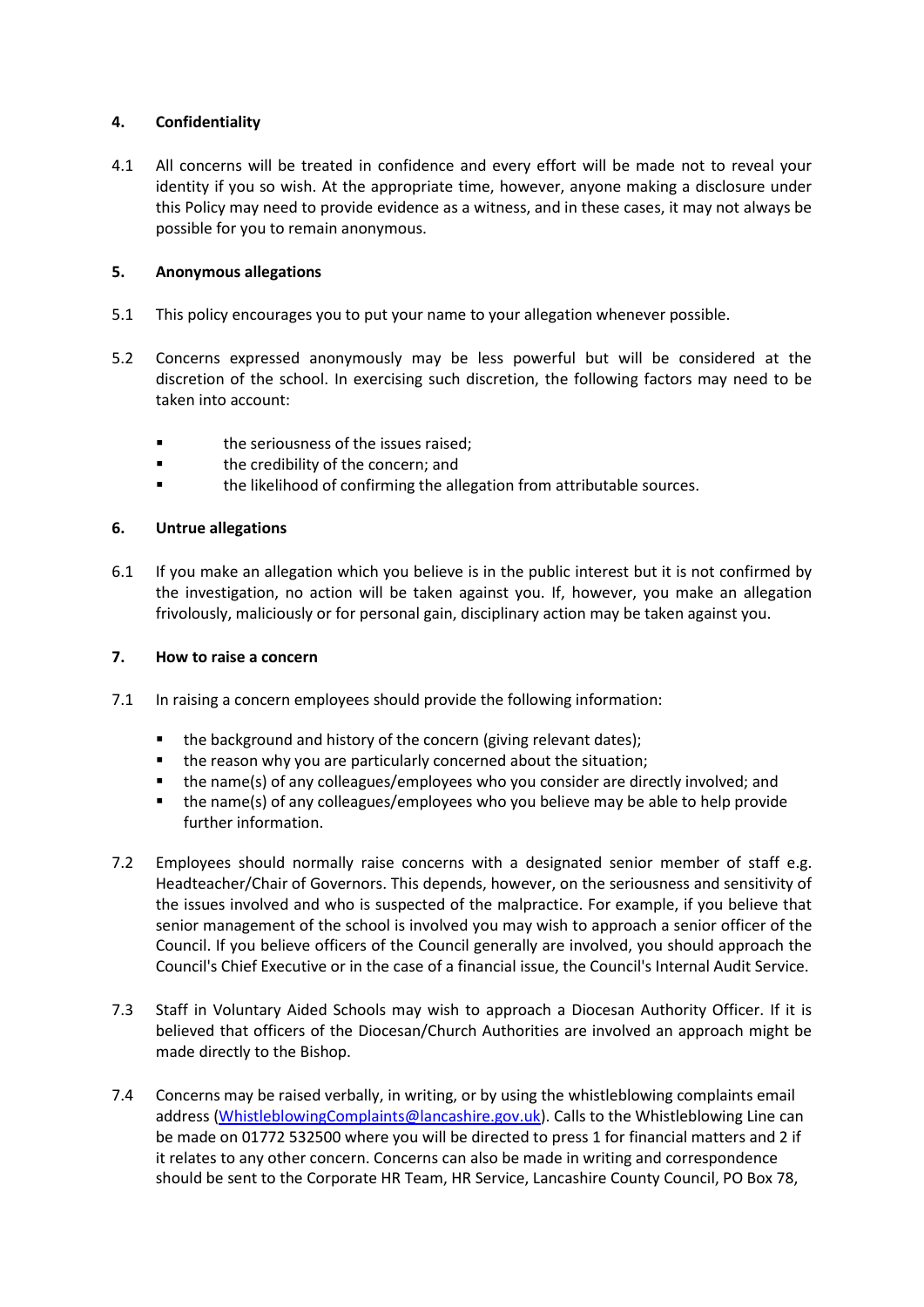## **4. Confidentiality**

4.1 All concerns will be treated in confidence and every effort will be made not to reveal your identity if you so wish. At the appropriate time, however, anyone making a disclosure under this Policy may need to provide evidence as a witness, and in these cases, it may not always be possible for you to remain anonymous.

### **5. Anonymous allegations**

- 5.1 This policy encourages you to put your name to your allegation whenever possible.
- 5.2 Concerns expressed anonymously may be less powerful but will be considered at the discretion of the school. In exercising such discretion, the following factors may need to be taken into account:
	- the seriousness of the issues raised;
	- **the credibility of the concern; and**
	- **the likelihood of confirming the allegation from attributable sources.**

### **6. Untrue allegations**

6.1 If you make an allegation which you believe is in the public interest but it is not confirmed by the investigation, no action will be taken against you. If, however, you make an allegation frivolously, maliciously or for personal gain, disciplinary action may be taken against you.

### **7. How to raise a concern**

- 7.1 In raising a concern employees should provide the following information:
	- the background and history of the concern (giving relevant dates);
	- the reason why you are particularly concerned about the situation;
	- the name(s) of any colleagues/employees who you consider are directly involved; and
	- the name(s) of any colleagues/employees who you believe may be able to help provide further information.
- 7.2 Employees should normally raise concerns with a designated senior member of staff e.g. Headteacher/Chair of Governors. This depends, however, on the seriousness and sensitivity of the issues involved and who is suspected of the malpractice. For example, if you believe that senior management of the school is involved you may wish to approach a senior officer of the Council. If you believe officers of the Council generally are involved, you should approach the Council's Chief Executive or in the case of a financial issue, the Council's Internal Audit Service.
- 7.3 Staff in Voluntary Aided Schools may wish to approach a Diocesan Authority Officer. If it is believed that officers of the Diocesan/Church Authorities are involved an approach might be made directly to the Bishop.
- 7.4 Concerns may be raised verbally, in writing, or by using the whistleblowing complaints email address [\(WhistleblowingComplaints@lancashire.gov.uk\)](mailto:WhistleblowingComplaints@lancashire.gov.uk). Calls to the Whistleblowing Line can be made on 01772 532500 where you will be directed to press 1 for financial matters and 2 if it relates to any other concern. Concerns can also be made in writing and correspondence should be sent to the Corporate HR Team, HR Service, Lancashire County Council, PO Box 78,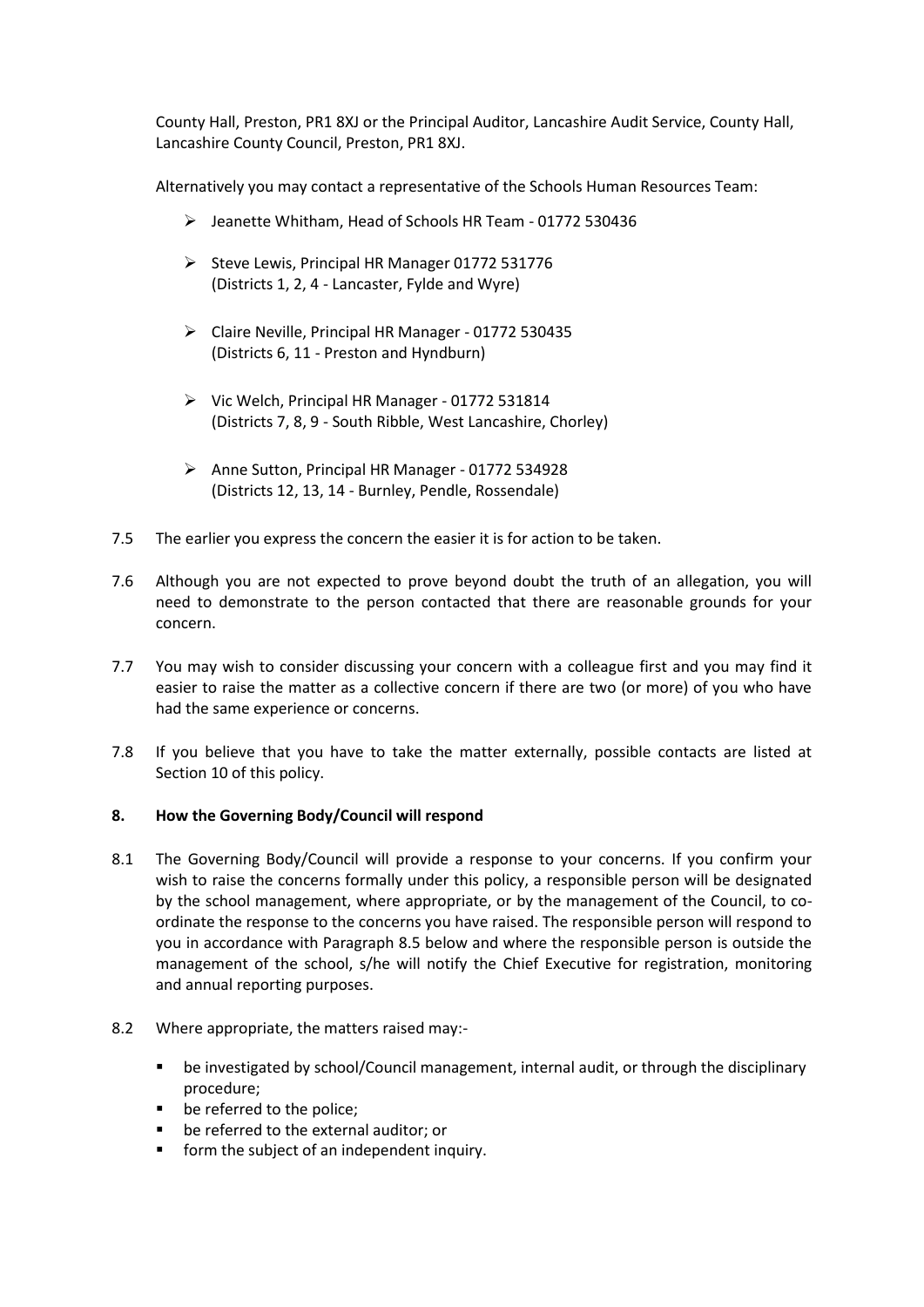County Hall, Preston, PR1 8XJ or the Principal Auditor, Lancashire Audit Service, County Hall, Lancashire County Council, Preston, PR1 8XJ.

Alternatively you may contact a representative of the Schools Human Resources Team:

- Jeanette Whitham, Head of Schools HR Team 01772 530436
- $\triangleright$  Steve Lewis, Principal HR Manager 01772 531776 (Districts 1, 2, 4 - Lancaster, Fylde and Wyre)
- Claire Neville, Principal HR Manager 01772 530435 (Districts 6, 11 - Preston and Hyndburn)
- $\triangleright$  Vic Welch, Principal HR Manager 01772 531814 (Districts 7, 8, 9 - South Ribble, West Lancashire, Chorley)
- $\triangleright$  Anne Sutton, Principal HR Manager 01772 534928 (Districts 12, 13, 14 - Burnley, Pendle, Rossendale)
- 7.5 The earlier you express the concern the easier it is for action to be taken.
- 7.6 Although you are not expected to prove beyond doubt the truth of an allegation, you will need to demonstrate to the person contacted that there are reasonable grounds for your concern.
- 7.7 You may wish to consider discussing your concern with a colleague first and you may find it easier to raise the matter as a collective concern if there are two (or more) of you who have had the same experience or concerns.
- 7.8 If you believe that you have to take the matter externally, possible contacts are listed at Section 10 of this policy.

### **8. How the Governing Body/Council will respond**

- 8.1 The Governing Body/Council will provide a response to your concerns. If you confirm your wish to raise the concerns formally under this policy, a responsible person will be designated by the school management, where appropriate, or by the management of the Council, to coordinate the response to the concerns you have raised. The responsible person will respond to you in accordance with Paragraph 8.5 below and where the responsible person is outside the management of the school, s/he will notify the Chief Executive for registration, monitoring and annual reporting purposes.
- 8.2 Where appropriate, the matters raised may:
	- be investigated by school/Council management, internal audit, or through the disciplinary procedure;
	- be referred to the police;
	- **be referred to the external auditor; or**
	- **F** form the subject of an independent inquiry.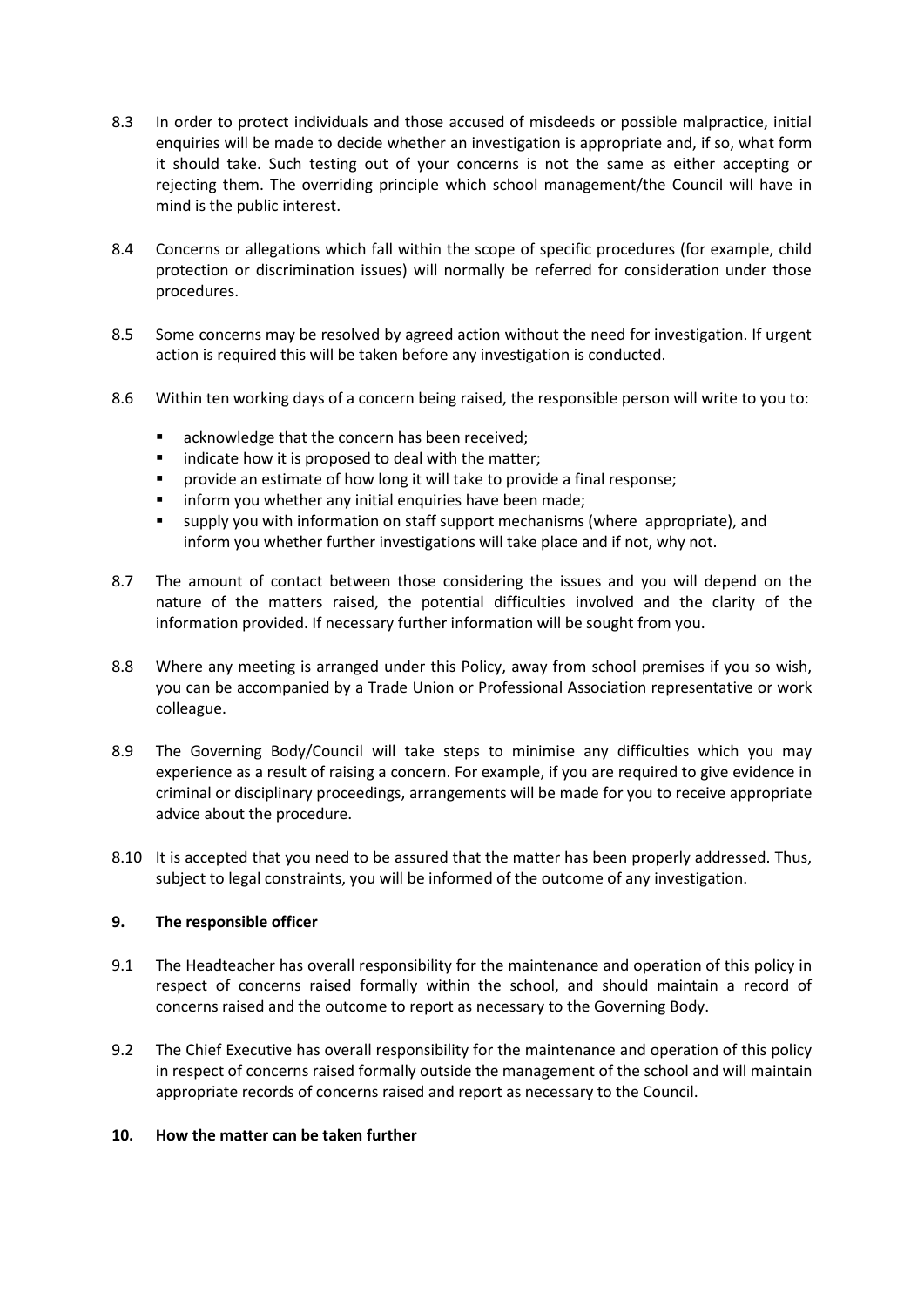- 8.3 In order to protect individuals and those accused of misdeeds or possible malpractice, initial enquiries will be made to decide whether an investigation is appropriate and, if so, what form it should take. Such testing out of your concerns is not the same as either accepting or rejecting them. The overriding principle which school management/the Council will have in mind is the public interest.
- 8.4 Concerns or allegations which fall within the scope of specific procedures (for example, child protection or discrimination issues) will normally be referred for consideration under those procedures.
- 8.5 Some concerns may be resolved by agreed action without the need for investigation. If urgent action is required this will be taken before any investigation is conducted.
- 8.6 Within ten working days of a concern being raised, the responsible person will write to you to:
	- acknowledge that the concern has been received;
	- indicate how it is proposed to deal with the matter;
	- provide an estimate of how long it will take to provide a final response;
	- **F** inform you whether any initial enquiries have been made;
	- supply you with information on staff support mechanisms (where appropriate), and inform you whether further investigations will take place and if not, why not.
- 8.7 The amount of contact between those considering the issues and you will depend on the nature of the matters raised, the potential difficulties involved and the clarity of the information provided. If necessary further information will be sought from you.
- 8.8 Where any meeting is arranged under this Policy, away from school premises if you so wish, you can be accompanied by a Trade Union or Professional Association representative or work colleague.
- 8.9 The Governing Body/Council will take steps to minimise any difficulties which you may experience as a result of raising a concern. For example, if you are required to give evidence in criminal or disciplinary proceedings, arrangements will be made for you to receive appropriate advice about the procedure.
- 8.10 It is accepted that you need to be assured that the matter has been properly addressed. Thus, subject to legal constraints, you will be informed of the outcome of any investigation.

### **9. The responsible officer**

- 9.1 The Headteacher has overall responsibility for the maintenance and operation of this policy in respect of concerns raised formally within the school, and should maintain a record of concerns raised and the outcome to report as necessary to the Governing Body.
- 9.2 The Chief Executive has overall responsibility for the maintenance and operation of this policy in respect of concerns raised formally outside the management of the school and will maintain appropriate records of concerns raised and report as necessary to the Council.

### **10. How the matter can be taken further**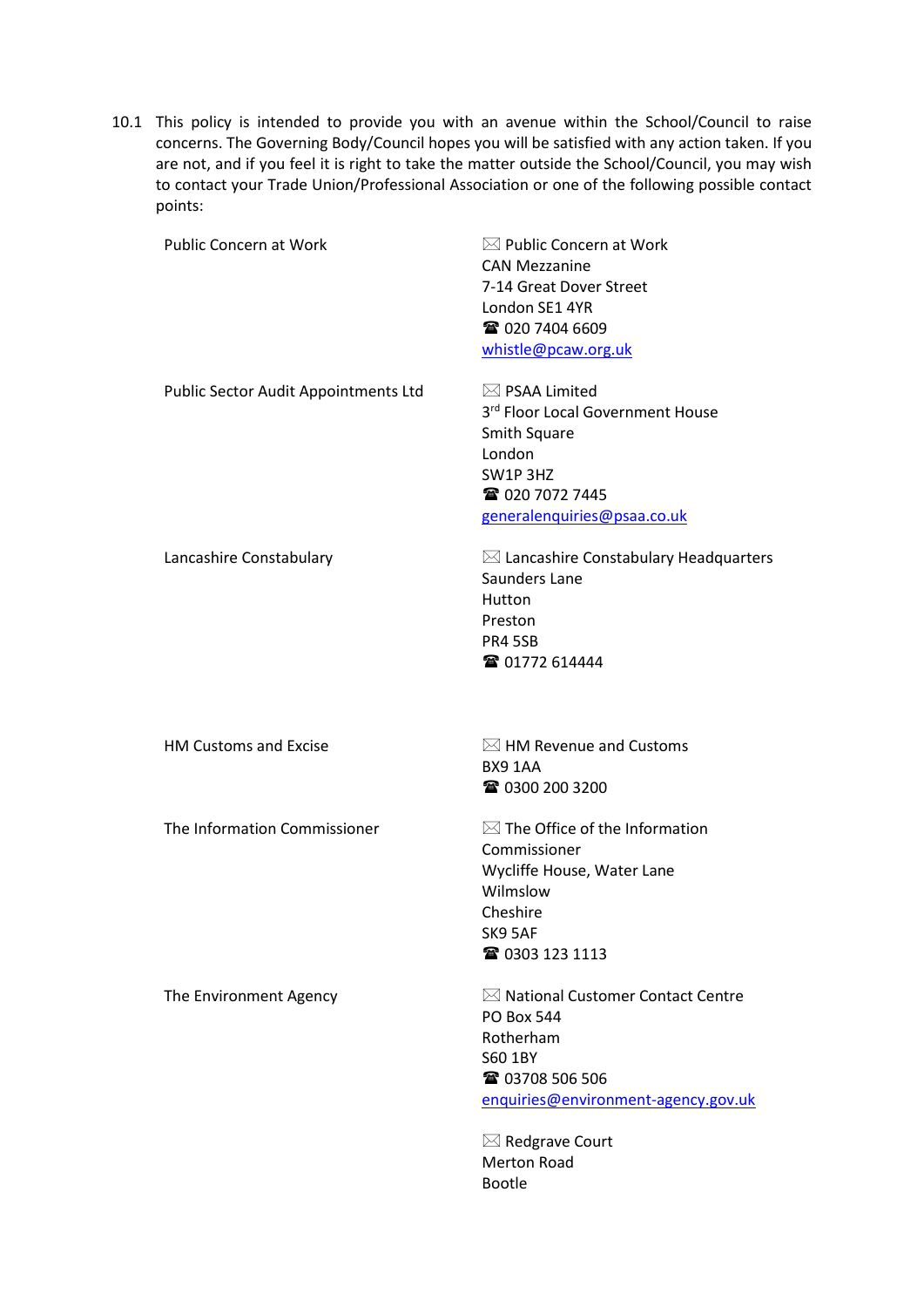10.1 This policy is intended to provide you with an avenue within the School/Council to raise concerns. The Governing Body/Council hopes you will be satisfied with any action taken. If you are not, and if you feel it is right to take the matter outside the School/Council, you may wish to contact your Trade Union/Professional Association or one of the following possible contact points:

| <b>Public Concern at Work</b>        | $\boxtimes$ Public Concern at Work<br><b>CAN Mezzanine</b><br>7-14 Great Dover Street<br>London SE1 4YR<br><b>雷 020 7404 6609</b><br>whistle@pcaw.org.uk                                                                        |  |
|--------------------------------------|---------------------------------------------------------------------------------------------------------------------------------------------------------------------------------------------------------------------------------|--|
| Public Sector Audit Appointments Ltd | $\boxtimes$ PSAA Limited<br>3rd Floor Local Government House<br><b>Smith Square</b><br>London<br>SW1P3HZ<br><b>雷 020 7072 7445</b><br>generalenquiries@psaa.co.uk                                                               |  |
| Lancashire Constabulary              | $\boxtimes$ Lancashire Constabulary Headquarters<br>Saunders Lane<br>Hutton<br>Preston<br><b>PR4 5SB</b><br><b>雷 01772 614444</b>                                                                                               |  |
| <b>HM Customs and Excise</b>         | $\boxtimes$ HM Revenue and Customs<br>BX9 1AA<br>☎ 0300 200 3200                                                                                                                                                                |  |
| The Information Commissioner         | $\boxtimes$ The Office of the Information<br>Commissioner<br>Wycliffe House, Water Lane<br>Wilmslow<br>Cheshire<br>SK9 5AF<br>☎ 0303 123 1113                                                                                   |  |
| The Environment Agency               | $\boxtimes$ National Customer Contact Centre<br><b>PO Box 544</b><br>Rotherham<br>S60 1BY<br><b>雷 03708 506 506</b><br>enquiries@environment-agency.gov.uk<br>$\boxtimes$ Redgrave Court<br><b>Merton Road</b><br><b>Bootle</b> |  |